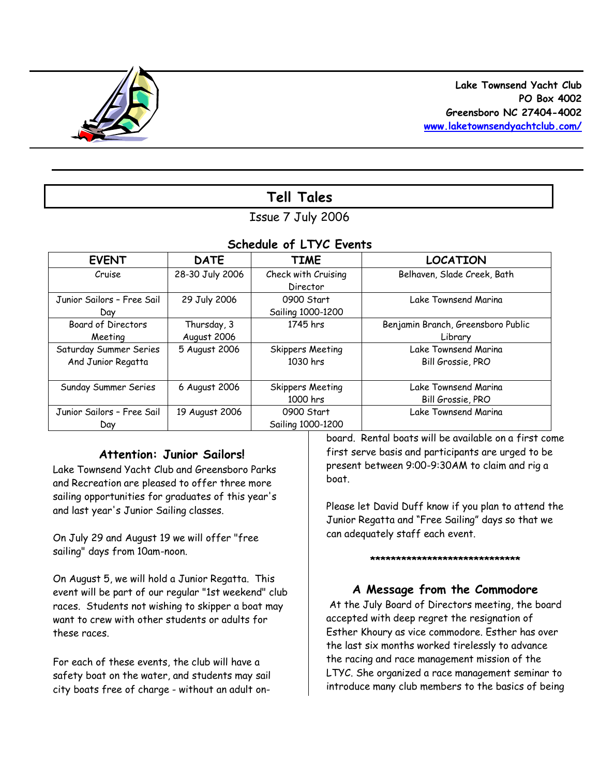

# **Tell Tales**

# Issue 7 July 2006

# *Schedule of LTYC Events*

| <b>EVENT</b>               | <b>DATE</b>     | <b>TIME</b>         | <b>LOCATION</b>                    |
|----------------------------|-----------------|---------------------|------------------------------------|
| Cruise                     | 28-30 July 2006 | Check with Cruising | Belhaven, Slade Creek, Bath        |
|                            |                 | Director            |                                    |
| Junior Sailors - Free Sail | 29 July 2006    | 0900 Start          | Lake Townsend Marina               |
| Dav                        |                 | Sailing 1000-1200   |                                    |
| <b>Board of Directors</b>  | Thursday, 3     | 1745 hrs            | Benjamin Branch, Greensboro Public |
| Meeting                    | August 2006     |                     | Library                            |
| Saturday Summer Series     | 5 August 2006   | Skippers Meeting    | Lake Townsend Marina               |
| And Junior Regatta         |                 | 1030 hrs            | Bill Grossie, PRO                  |
|                            |                 |                     |                                    |
| Sunday Summer Series       | 6 August 2006   | Skippers Meeting    | Lake Townsend Marina               |
|                            |                 | 1000 hrs            | Bill Grossie, PRO                  |
| Junior Sailors - Free Sail | 19 August 2006  | 0900 Start          | Lake Townsend Marina               |
| Day                        |                 | Sailing 1000-1200   |                                    |

## **Attention: Junior Sailors!**

Lake Townsend Yacht Club and Greensboro Parks and Recreation are pleased to offer three more sailing opportunities for graduates of this year's and last year's Junior Sailing classes.

On July 29 and August 19 we will offer "free sailing" days from 10am-noon.

On August 5, we will hold a Junior Regatta. This event will be part of our regular "1st weekend" club races. Students not wishing to skipper a boat may want to crew with other students or adults for these races.

For each of these events, the club will have a safety boat on the water, and students may sail city boats free of charge - without an adult onboard. Rental boats will be available on a first come first serve basis and participants are urged to be present between 9:00-9:30AM to claim and rig a boat.

Please let David Duff know if you plan to attend the Junior Regatta and "Free Sailing" days so that we can adequately staff each event.

#### **\*\*\*\*\*\*\*\*\*\*\*\*\*\*\*\*\*\*\*\*\*\*\*\*\*\*\*\*\***

# **A Message from the Commodore**

At the July Board of Directors meeting, the board accepted with deep regret the resignation of Esther Khoury as vice commodore. Esther has over the last six months worked tirelessly to advance the racing and race management mission of the LTYC. She organized a race management seminar to introduce many club members to the basics of being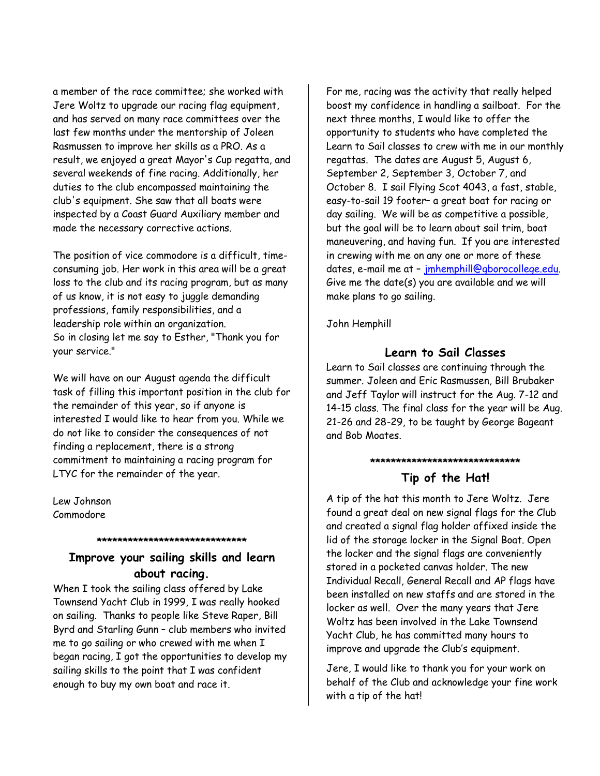a member of the race committee; she worked with Jere Woltz to upgrade our racing flag equipment, and has served on many race committees over the last few months under the mentorship of Joleen Rasmussen to improve her skills as a PRO. As a result, we enjoyed a great Mayor's Cup regatta, and several weekends of fine racing. Additionally, her duties to the club encompassed maintaining the club's equipment. She saw that all boats were inspected by a Coast Guard Auxiliary member and made the necessary corrective actions.

The position of vice commodore is a difficult, timeconsuming job. Her work in this area will be a great loss to the club and its racing program, but as many of us know, it is not easy to juggle demanding professions, family responsibilities, and a leadership role within an organization. So in closing let me say to Esther, "Thank you for your service."

We will have on our August agenda the difficult task of filling this important position in the club for the remainder of this year, so if anyone is interested I would like to hear from you. While we do not like to consider the consequences of not finding a replacement, there is a strong commitment to maintaining a racing program for LTYC for the remainder of the year.

Lew Johnson Commodore

# **Improve your sailing skills and learn about racing.**

**\*\*\*\*\*\*\*\*\*\*\*\*\*\*\*\*\*\*\*\*\*\*\*\*\*\*\*\*\***

When I took the sailing class offered by Lake Townsend Yacht Club in 1999, I was really hooked on sailing. Thanks to people like Steve Raper, Bill Byrd and Starling Gunn – club members who invited me to go sailing or who crewed with me when I began racing, I got the opportunities to develop my sailing skills to the point that I was confident enough to buy my own boat and race it.

For me, racing was the activity that really helped boost my confidence in handling a sailboat. For the next three months, I would like to offer the opportunity to students who have completed the Learn to Sail classes to crew with me in our monthly regattas. The dates are August 5, August 6, September 2, September 3, October 7, and October 8. I sail Flying Scot 4043, a fast, stable, easy-to-sail 19 footer– a great boat for racing or day sailing. We will be as competitive a possible, but the goal will be to learn about sail trim, boat maneuvering, and having fun. If you are interested in crewing with me on any one or more of these dates, e-mail me at – jmhemphill@gborocollege.edu. Give me the date(s) you are available and we will make plans to go sailing.

John Hemphill

# **Learn to Sail Classes**

Learn to Sail classes are continuing through the summer. Joleen and Eric Rasmussen, Bill Brubaker and Jeff Taylor will instruct for the Aug. 7-12 and 14-15 class. The final class for the year will be Aug. 21-26 and 28-29, to be taught by George Bageant and Bob Moates.

# **\*\*\*\*\*\*\*\*\*\*\*\*\*\*\*\*\*\*\*\*\*\*\*\*\*\*\*\*\***

# **Tip of the Hat!**

A tip of the hat this month to Jere Woltz. Jere found a great deal on new signal flags for the Club and created a signal flag holder affixed inside the lid of the storage locker in the Signal Boat. Open the locker and the signal flags are conveniently stored in a pocketed canvas holder. The new Individual Recall, General Recall and AP flags have been installed on new staffs and are stored in the locker as well. Over the many years that Jere Woltz has been involved in the Lake Townsend Yacht Club, he has committed many hours to improve and upgrade the Club's equipment.

Jere, I would like to thank you for your work on behalf of the Club and acknowledge your fine work with a tip of the hat!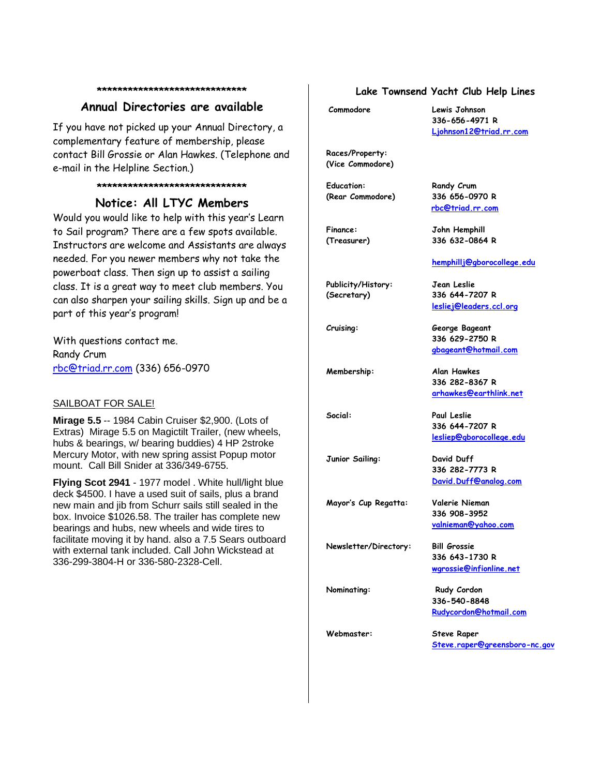#### **\*\*\*\*\*\*\*\*\*\*\*\*\*\*\*\*\*\*\*\*\*\*\*\*\*\*\*\*\***

### **Annual Directories are available**

If you have not picked up your Annual Directory, a complementary feature of membership, please contact Bill Grossie or Alan Hawkes. (Telephone and e-mail in the Helpline Section.)

#### **\*\*\*\*\*\*\*\*\*\*\*\*\*\*\*\*\*\*\*\*\*\*\*\*\*\*\*\*\***

### **Notice: All LTYC Members**

Would you would like to help with this year's Learn to Sail program? There are a few spots available. Instructors are welcome and Assistants are always needed. For you newer members why not take the powerboat class. Then sign up to assist a sailing class. It is a great way to meet club members. You can also sharpen your sailing skills. Sign up and be a part of this year's program!

With questions contact me. Randy Crum rbc@triad.rr.com (336) 656-0970

#### SAILBOAT FOR SALE!

**Mirage 5.5** -- 1984 Cabin Cruiser \$2,900. (Lots of Extras) Mirage 5.5 on Magictilt Trailer, (new wheels, hubs & bearings, w/ bearing buddies) 4 HP 2stroke Mercury Motor, with new spring assist Popup motor mount. Call Bill Snider at 336/349-6755.

**Flying Scot 2941** - 1977 model . White hull/light blue deck \$4500. I have a used suit of sails, plus a brand new main and jib from Schurr sails still sealed in the box. Invoice \$1026.58. The trailer has complete new bearings and hubs, new wheels and wide tires to facilitate moving it by hand. also a 7.5 Sears outboard with external tank included. Call John Wickstead at 336-299-3804-H or 336-580-2328-Cell.

### **Lake Townsend Yacht Club Help Lines**

**Commodore Lewis Johnson**

**336-656-4971 R Ljohnson12@triad.rr.com**

**hemphillj@gborocollege.edu**

**lesliej@leaders.ccl.org**

**336 629-2750 R gbageant@hotmail.com**

**336 282-8367 R arhawkes@earthlink.net**

**336 644-7207 R lesliep@gborocollege.edu**

**336 282-7773 R David.Duff@analog.com**

**336 908-3952 valnieman@yahoo.com**

**336 643-1730 R wgrossie@infionline.net**

**Races/Property: (Vice Commodore)**

**Education: Randy Crum (Rear Commodore) 336 656-0970 R**

**rbc@triad.rr.com**

**Finance: John Hemphill (Treasurer) 336 632-0864 R**

**Publicity/History: Jean Leslie (Secretary) 336 644-7207 R**

**Cruising: George Bageant**

**Membership: Alan Hawkes**

**Social: Paul Leslie**

**Junior Sailing: David Duff**

**Mayor's Cup Regatta: Valerie Nieman**

**Newsletter/Directory: Bill Grossie**

**Nominating:** Rudy Cordon **336-540-8848 Rudycordon@hotmail.com**

**Webmaster: Steve Raper**

**Steve.raper@greensboro-nc.gov**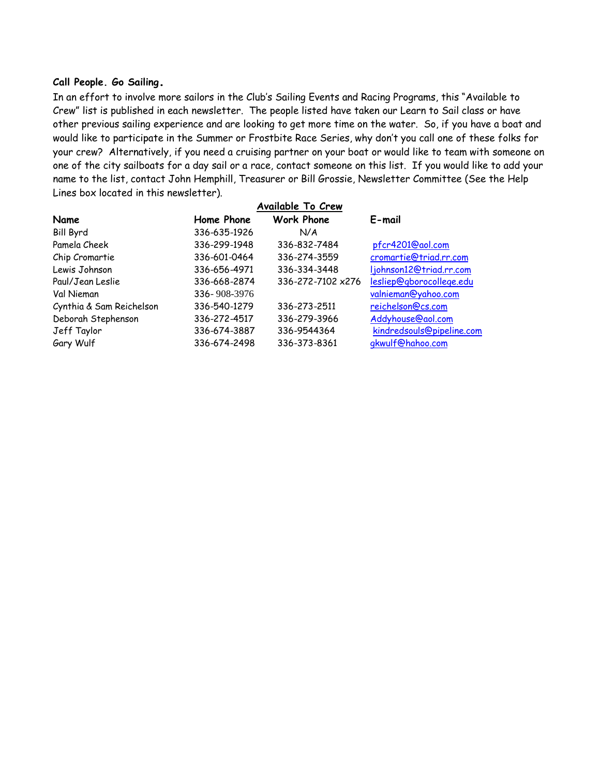### **Call People. Go Sailing.**

In an effort to involve more sailors in the Club's Sailing Events and Racing Programs, this "Available to Crew" list is published in each newsletter. The people listed have taken our Learn to Sail class or have other previous sailing experience and are looking to get more time on the water. So, if you have a boat and would like to participate in the Summer or Frostbite Race Series, why don't you call one of these folks for your crew? Alternatively, if you need a cruising partner on your boat or would like to team with someone on one of the city sailboats for a day sail or a race, contact someone on this list. If you would like to add your name to the list, contact John Hemphill, Treasurer or Bill Grossie, Newsletter Committee (See the Help Lines box located in this newsletter).

|                          |              | <b>Available To Crew</b> |                           |
|--------------------------|--------------|--------------------------|---------------------------|
| Name                     | Home Phone   | <b>Work Phone</b>        | $E$ -mail                 |
| <b>Bill Byrd</b>         | 336-635-1926 | N/A                      |                           |
| Pamela Cheek             | 336-299-1948 | 336-832-7484             | pfcr4201@aol.com          |
| Chip Cromartie           | 336-601-0464 | 336-274-3559             | cromartie@triad.rr.com    |
| Lewis Johnson            | 336-656-4971 | 336-334-3448             | ljohnson12@triad.rr.com   |
| Paul/Jean Leslie         | 336-668-2874 | 336-272-7102 x276        | lesliep@gborocollege.edu  |
| Val Nieman               | 336-908-3976 |                          | valnieman@yahoo.com       |
| Cynthia & Sam Reichelson | 336-540-1279 | 336-273-2511             | reichelson@cs.com         |
| Deborah Stephenson       | 336-272-4517 | 336-279-3966             | Addyhouse@aol.com         |
| Jeff Taylor              | 336-674-3887 | 336-9544364              | kindredsouls@pipeline.com |
| Gary Wulf                | 336-674-2498 | 336-373-8361             | gkwulf@hahoo.com          |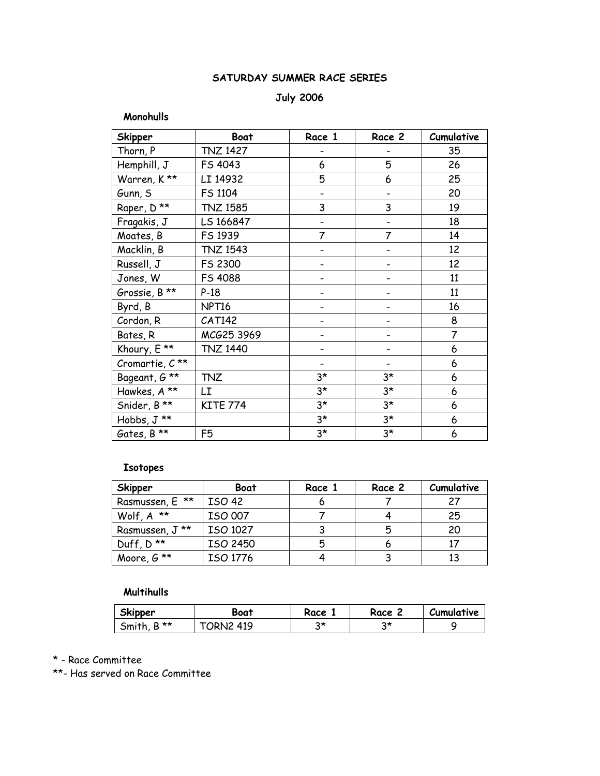# **SATURDAY SUMMER RACE SERIES**

## **July 2006**

### **Monohulls**

| <b>Skipper</b>              | <b>Boat</b>       | Race 1      | Race 2      | Cumulative     |
|-----------------------------|-------------------|-------------|-------------|----------------|
| Thorn, P                    | <b>TNZ 1427</b>   |             |             | 35             |
| Hemphill, J                 | FS 4043           | 6           | 5           | 26             |
| Warren, K**                 | LI 14932          | 5           | 6           | 25             |
| Gunn, S                     | FS 1104           |             |             | 20             |
| Raper, D**                  | <b>TNZ 1585</b>   | 3           | 3           | 19             |
| Fragakis, J                 | LS 166847         |             |             | 18             |
| Moates, B                   | FS 1939           | 7           | 7           | 14             |
| Macklin, B                  | <b>TNZ 1543</b>   |             |             | 12             |
| Russell, J                  | FS 2300           |             |             | 12             |
| Jones, W                    | FS 4088           |             |             | 11             |
| Grossie, B **               | $P-18$            |             |             | 11             |
| Byrd, B                     | NPT <sub>16</sub> |             |             | 16             |
| Cordon, R                   | <b>CAT142</b>     |             |             | 8              |
| Bates, R                    | MCG25 3969        |             |             | $\overline{7}$ |
| Khoury, E **                | <b>TNZ 1440</b>   |             |             | 6              |
| Cromartie, $C^{\star\star}$ |                   |             |             | 6              |
| Bageant, G **               | <b>TNZ</b>        | $3*$        | $3^{\star}$ | 6              |
| Hawkes, A **                | LI                | $3^{\star}$ | $3^{\star}$ | 6              |
| Snider, B**                 | <b>KITE 774</b>   | $3*$        | $3*$        | 6              |
| Hobbs, J **                 |                   | $3*$        | $3*$        | 6              |
| Gates, B **                 | F <sub>5</sub>    | $3*$        | $3*$        | 6              |

# **Isotopes**

| <b>Skipper</b>          | Boat          | Race 1 | Race 2 | Cumulative |
|-------------------------|---------------|--------|--------|------------|
| Rasmussen, E **         | <b>ISO 42</b> |        |        | 27         |
| Wolf, $A^*$             | ISO 007       |        |        | 25         |
| Rasmussen, J **         | ISO 1027      |        | 5      | 20         |
| Duff, $D^{\star\star}$  | ISO 2450      | 5      |        | 17         |
| Moore, $G^{\star\star}$ | ISO 1776      |        |        | 13         |

## **Multihulls**

| <b>Skipper</b> | Boat        | Race | Race | Cumulative |
|----------------|-------------|------|------|------------|
| D **<br>Smith  | 419<br>JRN2 | つ*   |      |            |

\* - Race Committee

\*\*- Has served on Race Committee